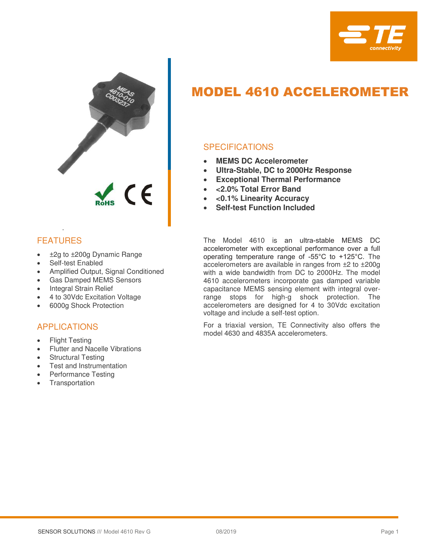



# FEATURES

.

- ±2g to ±200g Dynamic Range
- Self-test Enabled
- Amplified Output, Signal Conditioned
- Gas Damped MEMS Sensors
- Integral Strain Relief
- 4 to 30Vdc Excitation Voltage
- 6000g Shock Protection

## APPLICATIONS

- Flight Testing
- Flutter and Nacelle Vibrations
- Structural Testing
- Test and Instrumentation
- Performance Testing
- **Transportation**

# MODEL 4610 ACCELEROMETER

## **SPECIFICATIONS**

- **MEMS DC Accelerometer**
- **Ultra-Stable, DC to 2000Hz Response**
- **Exceptional Thermal Performance**
- **<2.0% Total Error Band**
- **<0.1% Linearity Accuracy**
- **Self-test Function Included**

The Model 4610 is an ultra-stable MEMS DC accelerometer with exceptional performance over a full operating temperature range of -55°C to +125°C. The accelerometers are available in ranges from ±2 to ±200g with a wide bandwidth from DC to 2000Hz. The model 4610 accelerometers incorporate gas damped variable capacitance MEMS sensing element with integral overrange stops for high-g shock protection. The accelerometers are designed for 4 to 30Vdc excitation voltage and include a self-test option.

For a triaxial version, TE Connectivity also offers the model 4630 and 4835A accelerometers.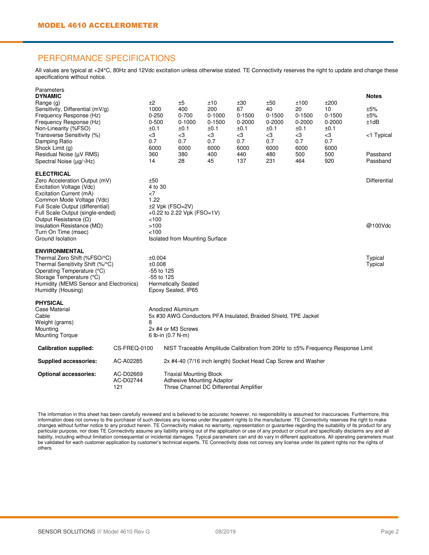#### PERFORMANCE SPECIFICATIONS

All values are typical at +24°C, 80Hz and 12Vdc excitation unless otherwise stated. TE Connectivity reserves the right to update and change these specifications without notice.

| Parameters                              |                                |                                  |                                                                                |            |                                                                 |            |            |            |              |  |  |  |
|-----------------------------------------|--------------------------------|----------------------------------|--------------------------------------------------------------------------------|------------|-----------------------------------------------------------------|------------|------------|------------|--------------|--|--|--|
| <b>DYNAMIC</b>                          |                                |                                  |                                                                                |            |                                                                 |            |            |            | <b>Notes</b> |  |  |  |
| Range (g)                               |                                | ±2                               | ±5                                                                             | ±10        | ±30                                                             | ±50        | ±100       | ±200       |              |  |  |  |
| Sensitivity, Differential (mV/g)        |                                | 1000                             | 400                                                                            | 200        | 67                                                              | 40         | 20         | 10         | ±5%          |  |  |  |
| Frequency Response (Hz)                 |                                | $0 - 250$                        | $0 - 700$                                                                      | $0 - 1000$ | 0-1500                                                          | $0 - 1500$ | $0 - 1500$ | $0 - 1500$ | ±5%          |  |  |  |
| Frequency Response (Hz)                 |                                | $0 - 500$                        | $0 - 1000$                                                                     | $0 - 1500$ | $0 - 2000$                                                      | $0 - 2000$ | $0 - 2000$ | $0 - 2000$ | ±1dB         |  |  |  |
| Non-Linearity (%FSO)                    |                                | ±0.1                             | ±0.1                                                                           | ±0.1       | ±0.1                                                            | ±0.1       | ±0.1       | ±0.1       |              |  |  |  |
| Transverse Sensitivity (%)              |                                | $<$ 3                            | $<$ 3                                                                          | $<$ 3      | $<$ 3                                                           | $<$ 3      | $<$ 3      | $<$ 3      | <1 Typical   |  |  |  |
| Damping Ratio                           |                                | 0.7                              | 0.7                                                                            | 0.7        | 0.7                                                             | 0.7        | 0.7        | 0.7        |              |  |  |  |
| Shock Limit (g)                         |                                | 6000                             | 6000                                                                           | 6000       | 6000                                                            | 6000       | 6000       | 6000       |              |  |  |  |
| Residual Noise (µV RMS)                 |                                | 360                              | 380                                                                            | 400        | 440                                                             | 480        | 500        | 500        | Passband     |  |  |  |
| Spectral Noise ( $\mu$ g/ $\sqrt{Hz}$ ) |                                | 14                               | 28                                                                             | 45         | 137                                                             | 231        | 464        | 920        | Passband     |  |  |  |
| <b>ELECTRICAL</b>                       |                                |                                  |                                                                                |            |                                                                 |            |            |            |              |  |  |  |
| Zero Acceleration Output (mV)           |                                | ±50                              |                                                                                |            |                                                                 |            |            |            | Differential |  |  |  |
| Excitation Voltage (Vdc)                |                                | 4 to 30                          |                                                                                |            |                                                                 |            |            |            |              |  |  |  |
| Excitation Current (mA)                 |                                | $<$ 7                            |                                                                                |            |                                                                 |            |            |            |              |  |  |  |
| Common Mode Voltage (Vdc)               |                                | 1.22                             |                                                                                |            |                                                                 |            |            |            |              |  |  |  |
| Full Scale Output (differential)        |                                | $±2$ Vpk (FSO=2V)                |                                                                                |            |                                                                 |            |            |            |              |  |  |  |
| Full Scale Output (single-ended)        |                                |                                  | +0.22 to 2.22 Vpk (FSO=1V)                                                     |            |                                                                 |            |            |            |              |  |  |  |
| Output Resistance $(\Omega)$            |                                | < 100                            |                                                                                |            |                                                                 |            |            |            |              |  |  |  |
| Insulation Resistance ( $M\Omega$ )     |                                | >100                             |                                                                                |            |                                                                 |            |            |            | @100Vdc      |  |  |  |
| Turn On Time (msec)                     |                                | 100                              |                                                                                |            |                                                                 |            |            |            |              |  |  |  |
| Ground Isolation                        | Isolated from Mounting Surface |                                  |                                                                                |            |                                                                 |            |            |            |              |  |  |  |
|                                         |                                |                                  |                                                                                |            |                                                                 |            |            |            |              |  |  |  |
| <b>ENVIRONMENTAL</b>                    |                                |                                  |                                                                                |            |                                                                 |            |            |            |              |  |  |  |
| Thermal Zero Shift (%FSO/°C)            |                                | ±0.004                           |                                                                                |            |                                                                 |            |            |            | Typical      |  |  |  |
| Thermal Sensitivity Shift (%/°C)        |                                | ±0.008                           |                                                                                |            |                                                                 |            |            |            | Typical      |  |  |  |
| Operating Temperature (°C)              |                                | -55 to 125                       |                                                                                |            |                                                                 |            |            |            |              |  |  |  |
| Storage Temperature (°C)                |                                | -55 to 125                       |                                                                                |            |                                                                 |            |            |            |              |  |  |  |
| Humidity (MEMS Sensor and Electronics)  |                                | <b>Hermetically Sealed</b>       |                                                                                |            |                                                                 |            |            |            |              |  |  |  |
| Humidity (Housing)                      |                                | Epoxy Sealed, IP65               |                                                                                |            |                                                                 |            |            |            |              |  |  |  |
| <b>PHYSICAL</b>                         |                                |                                  |                                                                                |            |                                                                 |            |            |            |              |  |  |  |
| <b>Case Material</b>                    |                                |                                  | Anodized Aluminum                                                              |            |                                                                 |            |            |            |              |  |  |  |
| Cable                                   |                                |                                  |                                                                                |            | 5x #30 AWG Conductors PFA Insulated, Braided Shield, TPE Jacket |            |            |            |              |  |  |  |
| Weight (grams)                          |                                | 8                                |                                                                                |            |                                                                 |            |            |            |              |  |  |  |
| Mounting                                |                                | 2x #4 or M3 Screws               |                                                                                |            |                                                                 |            |            |            |              |  |  |  |
| <b>Mounting Torque</b>                  |                                | 6 lb-in (0.7 N-m)                |                                                                                |            |                                                                 |            |            |            |              |  |  |  |
| <b>Calibration supplied:</b>            | CS-FREQ-0100                   |                                  | NIST Traceable Amplitude Calibration from 20Hz to ±5% Frequency Response Limit |            |                                                                 |            |            |            |              |  |  |  |
| <b>Supplied accessories:</b>            | AC-A02285                      |                                  |                                                                                |            | 2x #4-40 (7/16 inch length) Socket Head Cap Screw and Washer    |            |            |            |              |  |  |  |
| <b>Optional accessories:</b>            | AC-D02669                      |                                  | <b>Triaxial Mounting Block</b>                                                 |            |                                                                 |            |            |            |              |  |  |  |
|                                         | AC-D02744                      | <b>Adhesive Mounting Adaptor</b> |                                                                                |            |                                                                 |            |            |            |              |  |  |  |
|                                         | 121                            |                                  |                                                                                |            | Three Channel DC Differential Amplifier                         |            |            |            |              |  |  |  |

The information in this sheet has been carefully reviewed and is believed to be accurate; however, no responsibility is assumed for inaccuracies. Furthermore, this information does not convey to the purchaser of such devices any license under the patent rights to the manufacturer. TE Connectivity reserves the right to make changes without further notice to any product herein. TE Connectivity makes no warranty, representation or guarantee regarding the suitability of its product for any particular purpose, nor does TE Connectivity assume any liability arising out of the application or use of any product or circuit and specifically disclaims any and all liability, including without limitation consequential or incidental damages. Typical parameters can and do vary in different applications. All operating parameters must be validated for each customer application by customer's technical experts. TE Connectivity does not convey any license under its patent rights nor the rights of others.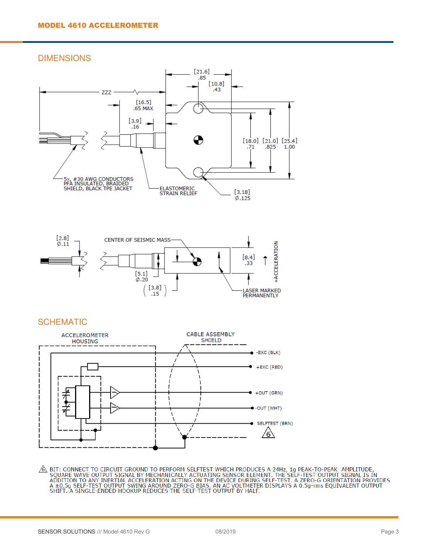DIMENSIONS





#### SCHEMATIC



 $\underbrace{\hat{\mathbb{A}}}_{A}$  BIT: CONNECT TO CIRCUIT GROUND TO PERFORM SELFTEST WHICH PRODUCES A 24Hz, 1g PEAK-TO-PEAK AMPLITUDE,<br>SQUARE WAVE OUTPUT SIGNAL BY MECHANICALLY ACTUATING SENSOR ELEMENT. THE SELF-TEST OUTPUT SIGNAL IS IN<br>A